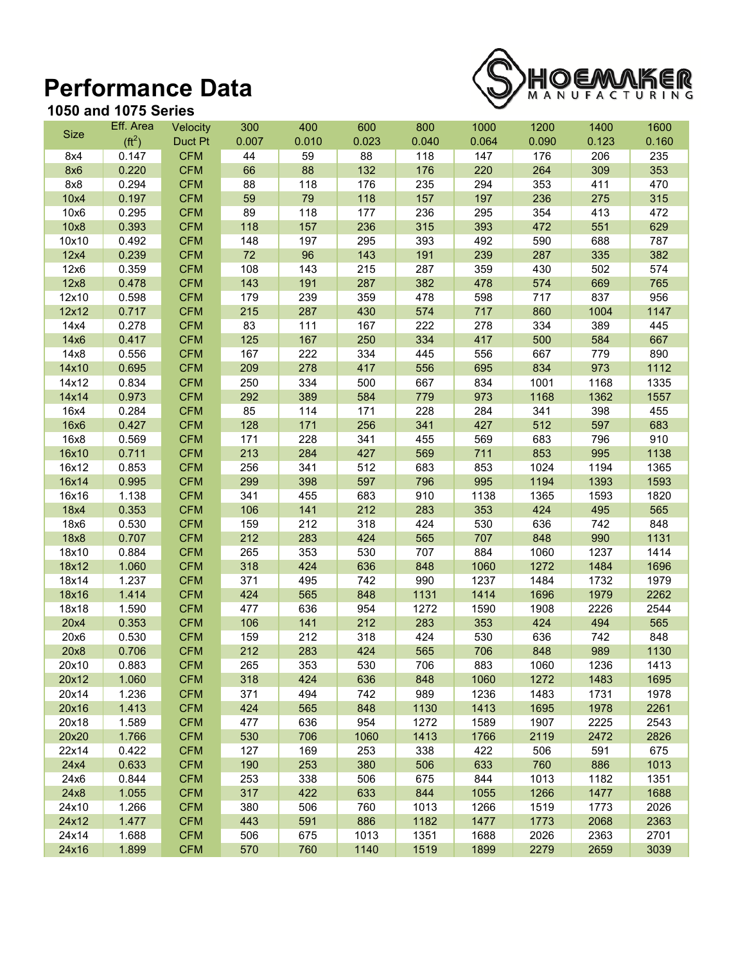## **Performance Data**



## **1050 and 1075 Series**

|             | Eff. Area                  | Velocity   | 300   | 400   | 600   | 800   | 1000  | 1200  | 1400  | 1600  |
|-------------|----------------------------|------------|-------|-------|-------|-------|-------|-------|-------|-------|
| <b>Size</b> | ( <b>ft</b> <sup>2</sup> ) | Duct Pt    | 0.007 | 0.010 | 0.023 | 0.040 | 0.064 | 0.090 | 0.123 | 0.160 |
| 8x4         | 0.147                      | <b>CFM</b> | 44    | 59    | 88    | 118   | 147   | 176   | 206   | 235   |
| 8x6         | 0.220                      | <b>CFM</b> | 66    | 88    | 132   | 176   | 220   | 264   | 309   | 353   |
| 8x8         | 0.294                      | <b>CFM</b> | 88    | 118   | 176   | 235   | 294   | 353   | 411   | 470   |
| 10x4        | 0.197                      | <b>CFM</b> | 59    | 79    | 118   | 157   | 197   | 236   | 275   | 315   |
| 10x6        | 0.295                      | <b>CFM</b> | 89    | 118   | 177   | 236   | 295   | 354   | 413   | 472   |
| 10x8        | 0.393                      | <b>CFM</b> | 118   | 157   | 236   | 315   | 393   | 472   | 551   | 629   |
| 10x10       | 0.492                      | <b>CFM</b> | 148   | 197   | 295   | 393   | 492   | 590   | 688   | 787   |
| 12x4        | 0.239                      | <b>CFM</b> | 72    | 96    | 143   | 191   | 239   | 287   | 335   | 382   |
| 12x6        | 0.359                      | <b>CFM</b> | 108   | 143   | 215   | 287   | 359   | 430   | 502   | 574   |
| 12x8        | 0.478                      | <b>CFM</b> | 143   | 191   | 287   | 382   | 478   | 574   | 669   | 765   |
| 12x10       | 0.598                      | <b>CFM</b> | 179   | 239   | 359   | 478   | 598   | 717   | 837   | 956   |
| 12x12       | 0.717                      | <b>CFM</b> | 215   | 287   | 430   | 574   | 717   | 860   | 1004  | 1147  |
| 14x4        | 0.278                      | <b>CFM</b> | 83    | 111   | 167   | 222   | 278   | 334   | 389   | 445   |
| 14x6        | 0.417                      | <b>CFM</b> | 125   | 167   | 250   | 334   | 417   | 500   | 584   | 667   |
| 14x8        | 0.556                      | <b>CFM</b> | 167   | 222   | 334   | 445   | 556   | 667   | 779   | 890   |
| 14x10       | 0.695                      | <b>CFM</b> | 209   | 278   | 417   | 556   | 695   | 834   | 973   | 1112  |
| 14x12       | 0.834                      | <b>CFM</b> | 250   | 334   | 500   | 667   | 834   | 1001  | 1168  | 1335  |
| 14x14       | 0.973                      | <b>CFM</b> | 292   | 389   | 584   | 779   | 973   | 1168  | 1362  | 1557  |
| 16x4        | 0.284                      | <b>CFM</b> | 85    | 114   | 171   | 228   | 284   | 341   | 398   | 455   |
| 16x6        | 0.427                      | <b>CFM</b> | 128   | 171   | 256   | 341   | 427   | 512   | 597   | 683   |
| 16x8        | 0.569                      | <b>CFM</b> | 171   | 228   | 341   | 455   | 569   | 683   | 796   | 910   |
| 16x10       | 0.711                      | <b>CFM</b> | 213   | 284   | 427   | 569   | 711   | 853   | 995   | 1138  |
| 16x12       | 0.853                      | <b>CFM</b> | 256   | 341   | 512   | 683   | 853   | 1024  | 1194  | 1365  |
| 16x14       | 0.995                      | <b>CFM</b> | 299   | 398   | 597   | 796   | 995   | 1194  | 1393  | 1593  |
| 16x16       | 1.138                      | <b>CFM</b> | 341   | 455   | 683   | 910   | 1138  | 1365  | 1593  | 1820  |
| 18x4        | 0.353                      | <b>CFM</b> | 106   | 141   | 212   | 283   | 353   | 424   | 495   | 565   |
| 18x6        | 0.530                      | <b>CFM</b> | 159   | 212   | 318   | 424   | 530   | 636   | 742   | 848   |
| 18x8        | 0.707                      | <b>CFM</b> | 212   | 283   | 424   | 565   | 707   | 848   | 990   | 1131  |
| 18x10       | 0.884                      | <b>CFM</b> | 265   | 353   | 530   | 707   | 884   | 1060  | 1237  | 1414  |
| 18x12       | 1.060                      | <b>CFM</b> | 318   | 424   | 636   | 848   | 1060  | 1272  | 1484  | 1696  |
| 18x14       | 1.237                      | <b>CFM</b> | 371   | 495   | 742   | 990   | 1237  | 1484  | 1732  | 1979  |
| 18x16       | 1.414                      | <b>CFM</b> | 424   | 565   | 848   | 1131  | 1414  | 1696  | 1979  | 2262  |
| 18x18       | 1.590                      | <b>CFM</b> | 477   | 636   | 954   | 1272  | 1590  | 1908  | 2226  | 2544  |
| 20x4        | 0.353                      | <b>CFM</b> | 106   | 141   | 212   | 283   | 353   | 424   | 494   | 565   |
| 20x6        | 0.530                      | <b>CFM</b> | 159   | 212   | 318   | 424   | 530   | 636   | 742   | 848   |
| 20x8        | 0.706                      | <b>CFM</b> | 212   | 283   | 424   | 565   | 706   | 848   | 989   | 1130  |
| 20x10       | 0.883                      | <b>CFM</b> | 265   | 353   | 530   | 706   | 883   | 1060  | 1236  | 1413  |
| 20x12       | 1.060                      | <b>CFM</b> | 318   | 424   | 636   | 848   | 1060  | 1272  | 1483  | 1695  |
| 20x14       | 1.236                      | <b>CFM</b> | 371   | 494   | 742   | 989   | 1236  | 1483  | 1731  | 1978  |
| 20x16       | 1.413                      | <b>CFM</b> | 424   | 565   | 848   | 1130  | 1413  | 1695  | 1978  | 2261  |
| 20x18       | 1.589                      | <b>CFM</b> | 477   | 636   | 954   | 1272  | 1589  | 1907  | 2225  | 2543  |
| 20x20       | 1.766                      | <b>CFM</b> | 530   | 706   | 1060  | 1413  | 1766  | 2119  | 2472  | 2826  |
| 22x14       | 0.422                      | <b>CFM</b> | 127   | 169   | 253   | 338   | 422   | 506   | 591   | 675   |
| 24x4        | 0.633                      | <b>CFM</b> | 190   | 253   | 380   | 506   | 633   | 760   | 886   | 1013  |
| 24x6        | 0.844                      | <b>CFM</b> | 253   | 338   | 506   | 675   | 844   | 1013  | 1182  | 1351  |
| 24x8        | 1.055                      | <b>CFM</b> | 317   | 422   | 633   | 844   | 1055  | 1266  | 1477  | 1688  |
| 24x10       | 1.266                      | <b>CFM</b> | 380   | 506   | 760   | 1013  | 1266  | 1519  | 1773  | 2026  |
| 24x12       | 1.477                      | <b>CFM</b> | 443   | 591   | 886   | 1182  | 1477  | 1773  | 2068  | 2363  |
| 24x14       | 1.688                      | <b>CFM</b> | 506   | 675   | 1013  | 1351  | 1688  | 2026  | 2363  | 2701  |
| 24x16       | 1.899                      | <b>CFM</b> | 570   | 760   | 1140  | 1519  | 1899  | 2279  | 2659  | 3039  |